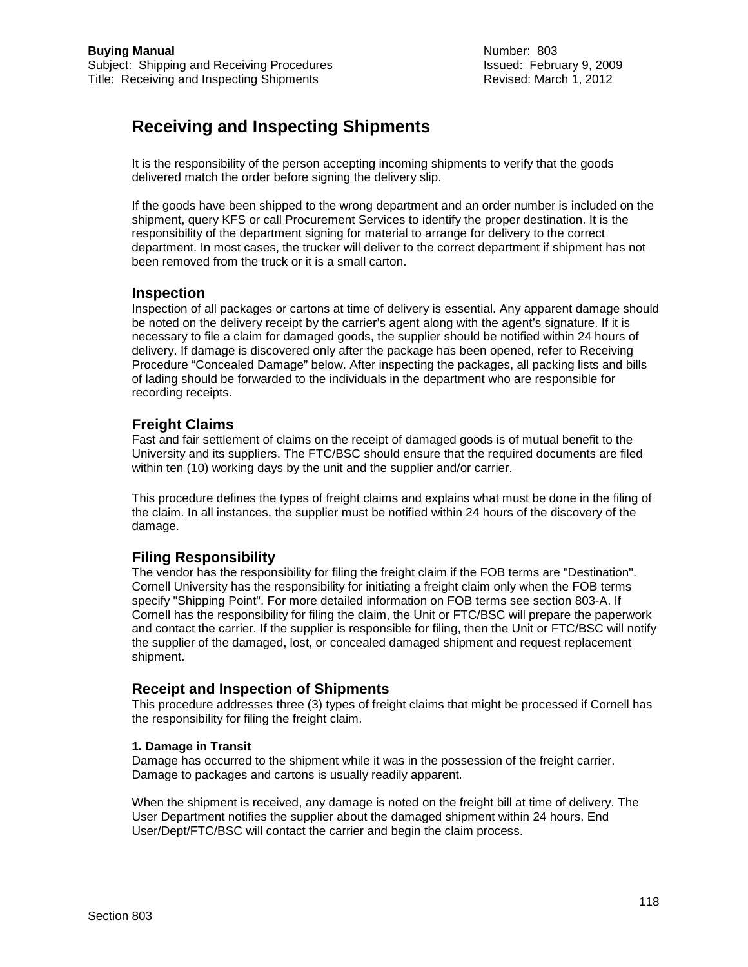# **Receiving and Inspecting Shipments**

It is the responsibility of the person accepting incoming shipments to verify that the goods delivered match the order before signing the delivery slip.

If the goods have been shipped to the wrong department and an order number is included on the shipment, query KFS or call Procurement Services to identify the proper destination. It is the responsibility of the department signing for material to arrange for delivery to the correct department. In most cases, the trucker will deliver to the correct department if shipment has not been removed from the truck or it is a small carton.

#### **Inspection**

Inspection of all packages or cartons at time of delivery is essential. Any apparent damage should be noted on the delivery receipt by the carrier's agent along with the agent's signature. If it is necessary to file a claim for damaged goods, the supplier should be notified within 24 hours of delivery. If damage is discovered only after the package has been opened, refer to Receiving Procedure "Concealed Damage" below. After inspecting the packages, all packing lists and bills of lading should be forwarded to the individuals in the department who are responsible for recording receipts.

## **Freight Claims**

Fast and fair settlement of claims on the receipt of damaged goods is of mutual benefit to the University and its suppliers. The FTC/BSC should ensure that the required documents are filed within ten (10) working days by the unit and the supplier and/or carrier.

This procedure defines the types of freight claims and explains what must be done in the filing of the claim. In all instances, the supplier must be notified within 24 hours of the discovery of the damage.

# **Filing Responsibility**

The vendor has the responsibility for filing the freight claim if the FOB terms are "Destination". Cornell University has the responsibility for initiating a freight claim only when the FOB terms specify "Shipping Point". For more detailed information on FOB terms see section 803-A. If Cornell has the responsibility for filing the claim, the Unit or FTC/BSC will prepare the paperwork and contact the carrier. If the supplier is responsible for filing, then the Unit or FTC/BSC will notify the supplier of the damaged, lost, or concealed damaged shipment and request replacement shipment.

## **Receipt and Inspection of Shipments**

This procedure addresses three (3) types of freight claims that might be processed if Cornell has the responsibility for filing the freight claim.

#### **1. Damage in Transit**

Damage has occurred to the shipment while it was in the possession of the freight carrier. Damage to packages and cartons is usually readily apparent.

When the shipment is received, any damage is noted on the freight bill at time of delivery. The User Department notifies the supplier about the damaged shipment within 24 hours. End User/Dept/FTC/BSC will contact the carrier and begin the claim process.